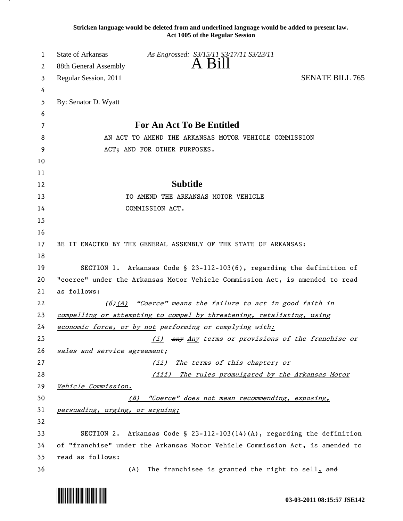**Stricken language would be deleted from and underlined language would be added to present law. Act 1005 of the Regular Session**

| 1  | State of Arkansas<br>As Engrossed: S3/15/11 S3/17/11 S3/23/11                 |  |
|----|-------------------------------------------------------------------------------|--|
| 2  | A Bill<br>88th General Assembly                                               |  |
| 3  | <b>SENATE BILL 765</b><br>Regular Session, 2011                               |  |
| 4  |                                                                               |  |
| 5  | By: Senator D. Wyatt                                                          |  |
| 6  |                                                                               |  |
| 7  | For An Act To Be Entitled                                                     |  |
| 8  | AN ACT TO AMEND THE ARKANSAS MOTOR VEHICLE COMMISSION                         |  |
| 9  | ACT; AND FOR OTHER PURPOSES.                                                  |  |
| 10 |                                                                               |  |
| 11 |                                                                               |  |
| 12 | <b>Subtitle</b>                                                               |  |
| 13 | TO AMEND THE ARKANSAS MOTOR VEHICLE                                           |  |
| 14 | COMMISSION ACT.                                                               |  |
| 15 |                                                                               |  |
| 16 |                                                                               |  |
| 17 | BE IT ENACTED BY THE GENERAL ASSEMBLY OF THE STATE OF ARKANSAS:               |  |
| 18 |                                                                               |  |
| 19 | SECTION 1. Arkansas Code § 23-112-103(6), regarding the definition of         |  |
| 20 | "coerce" under the Arkansas Motor Vehicle Commission Act, is amended to read  |  |
| 21 | as follows:                                                                   |  |
| 22 | (6)(A) "Coerce" means the failure to act in good faith in                     |  |
| 23 | compelling or attempting to compel by threatening, retaliating, using         |  |
| 24 | economic force, or by not performing or complying with:                       |  |
| 25 | (i) any Any terms or provisions of the franchise or                           |  |
| 26 | sales and service agreement;                                                  |  |
| 27 | The terms of this chapter; or<br>(iii)                                        |  |
| 28 | (iii)<br>The rules promulgated by the Arkansas Motor                          |  |
| 29 | Vehicle Commission.                                                           |  |
| 30 | "Coerce" does not mean recommending, exposing,<br>(B)                         |  |
| 31 | persuading, urging, or arguing;                                               |  |
| 32 |                                                                               |  |
| 33 | SECTION 2. Arkansas Code § 23-112-103(14)(A), regarding the definition        |  |
| 34 | of "franchise" under the Arkansas Motor Vehicle Commission Act, is amended to |  |
| 35 | read as follows:                                                              |  |
| 36 | The franchisee is granted the right to sell, and<br>(A)                       |  |

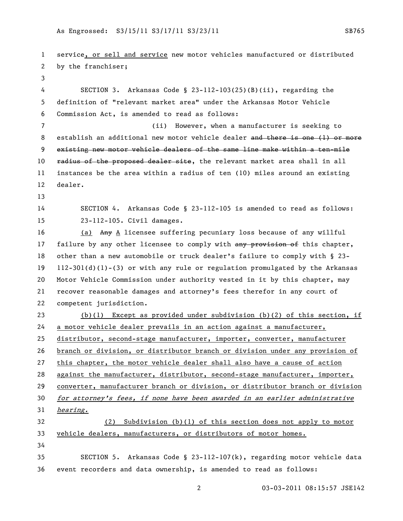service, or sell and service new motor vehicles manufactured or distributed by the franchiser; SECTION 3. Arkansas Code § 23-112-103(25)(B)(ii), regarding the definition of "relevant market area" under the Arkansas Motor Vehicle Commission Act, is amended to read as follows: (ii) However, when a manufacturer is seeking to 8 establish an additional new motor vehicle dealer and there is one (1) or more existing new motor vehicle dealers of the same line make within a ten-mile 10 radius of the proposed dealer site, the relevant market area shall in all instances be the area within a radius of ten (10) miles around an existing dealer. SECTION 4. Arkansas Code § 23-112-105 is amended to read as follows: 23-112-105. Civil damages. (a) Any A licensee suffering pecuniary loss because of any willful 17 failure by any other licensee to comply with any provision of this chapter, other than a new automobile or truck dealer's failure to comply with § 23- 112-301(d)(1)-(3) or with any rule or regulation promulgated by the Arkansas Motor Vehicle Commission under authority vested in it by this chapter, may recover reasonable damages and attorney's fees therefor in any court of competent jurisdiction. (b)(1) Except as provided under subdivision (b)(2) of this section, if a motor vehicle dealer prevails in an action against a manufacturer, distributor, second-stage manufacturer, importer, converter, manufacturer branch or division, or distributor branch or division under any provision of this chapter, the motor vehicle dealer shall also have a cause of action against the manufacturer, distributor, second-stage manufacturer, importer, converter, manufacturer branch or division, or distributor branch or division for attorney's fees, if none have been awarded in an earlier administrative hearing. (2) Subdivision (b)(1) of this section does not apply to motor vehicle dealers, manufacturers, or distributors of motor homes. SECTION 5. Arkansas Code § 23-112-107(k), regarding motor vehicle data event recorders and data ownership, is amended to read as follows: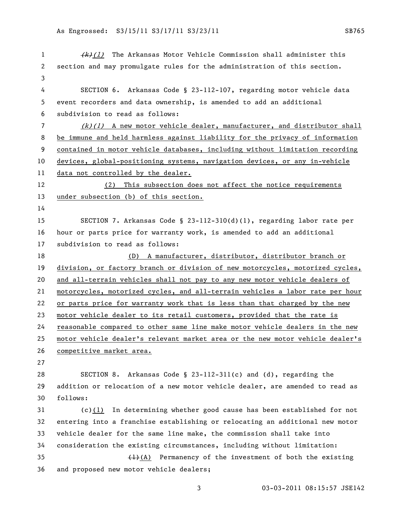$\left\{\frac{f}{k}\right\}(1)$  The Arkansas Motor Vehicle Commission shall administer this section and may promulgate rules for the administration of this section. SECTION 6. Arkansas Code § 23-112-107, regarding motor vehicle data event recorders and data ownership, is amended to add an additional subdivision to read as follows: (k)(1) A new motor vehicle dealer, manufacturer, and distributor shall be immune and held harmless against liability for the privacy of information contained in motor vehicle databases, including without limitation recording devices, global-positioning systems, navigation devices, or any in-vehicle data not controlled by the dealer. (2) This subsection does not affect the notice requirements under subsection (b) of this section. SECTION 7. Arkansas Code § 23-112-310(d)(1), regarding labor rate per hour or parts price for warranty work, is amended to add an additional subdivision to read as follows: (D) A manufacturer, distributor, distributor branch or 19 division, or factory branch or division of new motorcycles, motorized cycles, and all-terrain vehicles shall not pay to any new motor vehicle dealers of motorcycles, motorized cycles, and all-terrain vehicles a labor rate per hour or parts price for warranty work that is less than that charged by the new motor vehicle dealer to its retail customers, provided that the rate is reasonable compared to other same line make motor vehicle dealers in the new motor vehicle dealer's relevant market area or the new motor vehicle dealer's competitive market area. SECTION 8. Arkansas Code § 23-112-311(c) and (d), regarding the addition or relocation of a new motor vehicle dealer, are amended to read as follows: (c)(1) In determining whether good cause has been established for not entering into a franchise establishing or relocating an additional new motor vehicle dealer for the same line make, the commission shall take into consideration the existing circumstances, including without limitation:  $(1)-(A)$  Permanency of the investment of both the existing and proposed new motor vehicle dealers;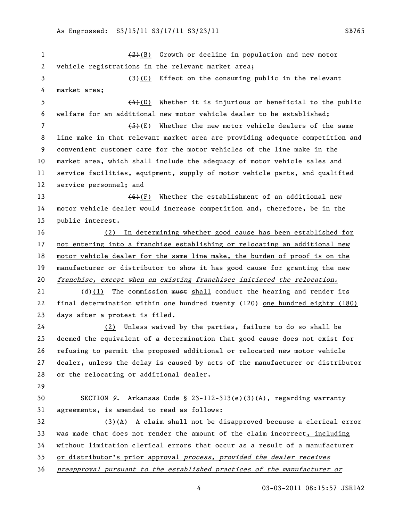$\left(2\right)(B)$  Growth or decline in population and new motor vehicle registrations in the relevant market area; 3 (3)(C) Effect on the consuming public in the relevant market area; (4)(D) Whether it is injurious or beneficial to the public welfare for an additional new motor vehicle dealer to be established;  $(5)(E)$  Whether the new motor vehicle dealers of the same line make in that relevant market area are providing adequate competition and convenient customer care for the motor vehicles of the line make in the market area, which shall include the adequacy of motor vehicle sales and service facilities, equipment, supply of motor vehicle parts, and qualified service personnel; and  $(6)(F)$  Whether the establishment of an additional new motor vehicle dealer would increase competition and, therefore, be in the public interest. (2) In determining whether good cause has been established for not entering into a franchise establishing or relocating an additional new motor vehicle dealer for the same line make, the burden of proof is on the manufacturer or distributor to show it has good cause for granting the new franchise, except when an existing franchisee initiated the relocation. 21 (d)(1) The commission must shall conduct the hearing and render its final determination within one hundred twenty (120) one hundred eighty (180) days after a protest is filed. 24 (2) Unless waived by the parties, failure to do so shall be deemed the equivalent of a determination that good cause does not exist for refusing to permit the proposed additional or relocated new motor vehicle dealer, unless the delay is caused by acts of the manufacturer or distributor or the relocating or additional dealer. SECTION 9. Arkansas Code § 23-112-313(e)(3)(A), regarding warranty agreements, is amended to read as follows: (3)(A) A claim shall not be disapproved because a clerical error was made that does not render the amount of the claim incorrect, including without limitation clerical errors that occur as a result of a manufacturer or distributor's prior approval process, provided the dealer receives preapproval pursuant to the established practices of the manufacturer or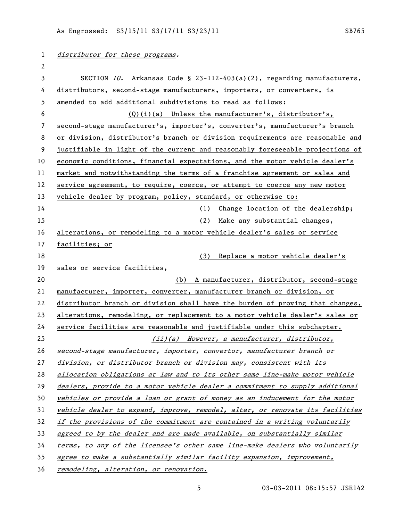| 1  | distributor for these programs.                                               |
|----|-------------------------------------------------------------------------------|
| 2  |                                                                               |
| 3  | SECTION 10. Arkansas Code § 23-112-403(a)(2), regarding manufacturers,        |
| 4  | distributors, second-stage manufacturers, importers, or converters, is        |
| 5  | amended to add additional subdivisions to read as follows:                    |
| 6  | $(Q)(i)(a)$ Unless the manufacturer's, distributor's,                         |
| 7  | second-stage manufacturer's, importer's, converter's, manufacturer's branch   |
| 8  | or division, distributor's branch or division requirements are reasonable and |
| 9  | justifiable in light of the current and reasonably foreseeable projections of |
| 10 | economic conditions, financial expectations, and the motor vehicle dealer's   |
| 11 | market and notwithstanding the terms of a franchise agreement or sales and    |
| 12 | service agreement, to require, coerce, or attempt to coerce any new motor     |
| 13 | vehicle dealer by program, policy, standard, or otherwise to:                 |
| 14 | Change location of the dealership;<br>(1)                                     |
| 15 | (2)<br>Make any substantial changes,                                          |
| 16 | alterations, or remodeling to a motor vehicle dealer's sales or service       |
| 17 | facilities; or                                                                |
| 18 | (3) Replace a motor vehicle dealer's                                          |
| 19 | sales or service facilities,                                                  |
| 20 | (b) A manufacturer, distributor, second-stage                                 |
| 21 | manufacturer, importer, converter, manufacturer branch or division, or        |
| 22 | distributor branch or division shall have the burden of proving that changes, |
| 23 | alterations, remodeling, or replacement to a motor vehicle dealer's sales or  |
| 24 | service facilities are reasonable and justifiable under this subchapter.      |
| 25 | $(iii)(a)$ However, a manufacturer, distributor,                              |
| 26 | second-stage manufacturer, importer, convertor, manufacturer branch or        |
| 27 | division, or distributor branch or division may, consistent with its          |
| 28 | allocation obligations at law and to its other same line-make motor vehicle   |
| 29 | dealers, provide to a motor vehicle dealer a commitment to supply additional  |
| 30 | vehicles or provide a loan or grant of money as an inducement for the motor   |
| 31 | vehicle dealer to expand, improve, remodel, alter, or renovate its facilities |
| 32 | if the provisions of the commitment are contained in a writing voluntarily    |
| 33 | agreed to by the dealer and are made available, on substantially similar      |
| 34 | terms, to any of the licensee's other same line-make dealers who voluntarily  |
| 35 | agree to make a substantially similar facility expansion, improvement,        |
|    |                                                                               |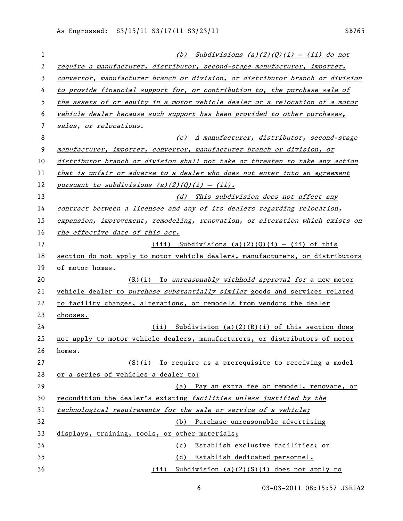| 1  | (b) Subdivisions (a)(2)(Q)(i) - (ii) do not                                   |
|----|-------------------------------------------------------------------------------|
| 2  | require a manufacturer, distributor, second-stage manufacturer, importer,     |
| 3  | convertor, manufacturer branch or division, or distributor branch or division |
| 4  | to provide financial support for, or contribution to, the purchase sale of    |
| 5  | the assets of or equity in a motor vehicle dealer or a relocation of a motor  |
| 6  | vehicle dealer because such support has been provided to other purchases,     |
| 7  | sales, or relocations.                                                        |
| 8  | (c) A manufacturer, distributor, second-stage                                 |
| 9  | manufacturer, importer, convertor, manufacturer branch or division, or        |
| 10 | distributor branch or division shall not take or threaten to take any action  |
| 11 | that is unfair or adverse to a dealer who does not enter into an agreement    |
| 12 | pursuant to subdivisions $(a)(2)(0)(i) - (ii)$ .                              |
| 13 | (d) This subdivision does not affect any                                      |
| 14 | contract between a licensee and any of its dealers regarding relocation,      |
| 15 | expansion, improvement, remodeling, renovation, or alteration which exists on |
| 16 | the effective date of this act.                                               |
| 17 | $(iii)$ Subdivisions $(a)(2)(0)(i) - (ii)$ of this                            |
| 18 | section do not apply to motor vehicle dealers, manufacturers, or distributors |
| 19 | of motor homes.                                                               |
| 20 | $(R)(i)$ To unreasonably withhold approval for a new motor                    |
| 21 | vehicle dealer to purchase substantially similar goods and services related   |
| 22 | to facility changes, alterations, or remodels from vendors the dealer         |
| 23 | chooses.                                                                      |
| 24 | $(i)$ Subdivision (a)(2)(R)(i) of this section does                           |
| 25 | not apply to motor vehicle dealers, manufacturers, or distributors of motor   |
| 26 | homes.                                                                        |
| 27 | $(S)(i)$ To require as a prerequisite to receiving a model                    |
| 28 | or a series of vehicles a dealer to:                                          |
| 29 | (a) Pay an extra fee or remodel, renovate, or                                 |
| 30 | recondition the dealer's existing facilities unless justified by the          |
| 31 | technological requirements for the sale or service of a vehicle;              |
| 32 | (b) Purchase unreasonable advertising                                         |
| 33 | displays, training, tools, or other materials;                                |
| 34 | Establish exclusive facilities; or<br>(c)                                     |
| 35 | Establish dedicated personnel.<br>(d)                                         |
| 36 | (ii) Subdivision (a)(2)(S)(i) does not apply to                               |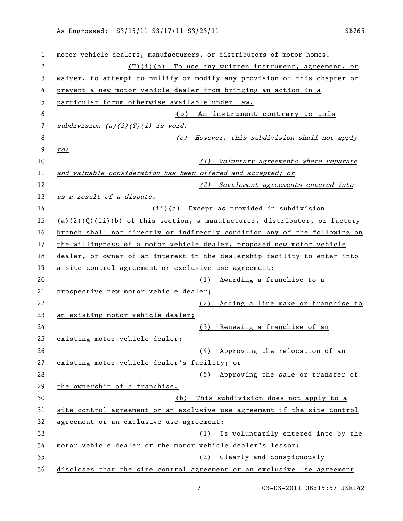| 1  | motor vehicle dealers, manufacturers, or distributors of motor homes.        |
|----|------------------------------------------------------------------------------|
| 2  | $(T)(i)(a)$ To use any written instrument, agreement, or                     |
| 3  | waiver, to attempt to nullify or modify any provision of this chapter or     |
| 4  | prevent a new motor vehicle dealer from bringing an action in a              |
| 5  | particular forum otherwise available under law.                              |
| 6  | (b)<br>An instrument contrary to this                                        |
| 7  | $subdivision$ (a)(2)(T)(i) is void.                                          |
| 8  | However, this subdivision shall not apply<br>(c)                             |
| 9  | to:                                                                          |
| 10 | Voluntary agreements where separate<br>(1)                                   |
| 11 | and valuable consideration has been offered and accepted; or                 |
| 12 | (2) Settlement agreements entered into                                       |
| 13 | as a result of a dispute.                                                    |
| 14 | (ii)(a) Except as provided in subdivision                                    |
| 15 | $(a)$ (2)(0)(ii)(b) of this section, a manufacturer, distributor, or factory |
| 16 | branch shall not directly or indirectly condition any of the following on    |
| 17 | the willingness of a motor vehicle dealer, proposed new motor vehicle        |
| 18 | dealer, or owner of an interest in the dealership facility to enter into     |
| 19 | a site control agreement or exclusive use agreement:                         |
| 20 | (1) Awarding a franchise to a                                                |
| 21 | prospective new motor vehicle dealer;                                        |
| 22 | Adding a line make or franchise to<br>(2)                                    |
| 23 | an existing motor vehicle dealer;                                            |
| 24 | Renewing a franchise of an<br>(3)                                            |
| 25 | existing motor vehicle dealer;                                               |
| 26 | (4) Approving the relocation of an                                           |
| 27 | existing motor vehicle dealer's facility; or                                 |
| 28 | (5) Approving the sale or transfer of                                        |
| 29 | the ownership of a franchise.                                                |
| 30 | This subdivision does not apply to a<br>(b)                                  |
| 31 | site control agreement or an exclusive use agreement if the site control     |
| 32 | agreement or an exclusive use agreement:                                     |
| 33 | (1) Is voluntarily entered into by the                                       |
| 34 | motor vehicle dealer or the motor vehicle dealer's lessor;                   |
| 35 | Clearly and conspicuously<br>(2)                                             |
| 36 | discloses that the site control agreement or an exclusive use agreement      |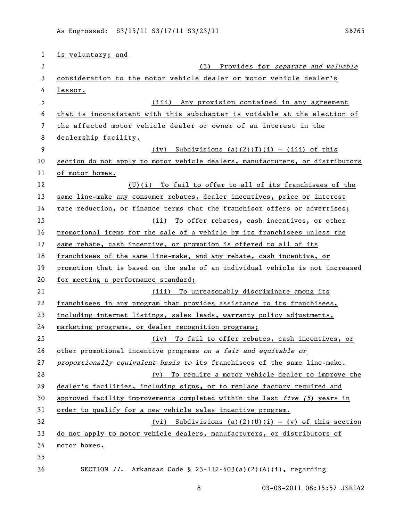| 1  | is voluntary; and                                                             |
|----|-------------------------------------------------------------------------------|
| 2  | Provides for separate and valuable<br>(3)                                     |
| 3  | consideration to the motor vehicle dealer or motor vehicle dealer's           |
| 4  | lessor.                                                                       |
| 5  | (iii) Any provision contained in any agreement                                |
| 6  | that is inconsistent with this subchapter is voidable at the election of      |
| 7  | the affected motor vehicle dealer or owner of an interest in the              |
| 8  | dealership facility.                                                          |
| 9  | Subdivisions $(a)(2)(T)(i) - (iii)$ of this<br>(iv)                           |
| 10 | section do not apply to motor vehicle dealers, manufacturers, or distributors |
| 11 | of motor homes.                                                               |
| 12 | (U)(i) To fail to offer to all of its franchisees of the                      |
| 13 | same line-make any consumer rebates, dealer incentives, price or interest     |
| 14 | rate reduction, or finance terms that the franchisor offers or advertises;    |
| 15 | To offer rebates, cash incentives, or other<br>(iii)                          |
| 16 | promotional items for the sale of a vehicle by its franchisees unless the     |
| 17 | same rebate, cash incentive, or promotion is offered to all of its            |
| 18 | franchisees of the same line-make, and any rebate, cash incentive, or         |
| 19 | promotion that is based on the sale of an individual vehicle is not increased |
| 20 | for meeting a performance standard;                                           |
| 21 | (iii) To unreasonably discriminate among its                                  |
| 22 | franchisees in any program that provides assistance to its franchisees,       |
| 23 | including internet listings, sales leads, warranty policy adjustments,        |
| 24 | marketing programs, or dealer recognition programs;                           |
| 25 | (iv) To fail to offer rebates, cash incentives, or                            |
| 26 | other promotional incentive programs on a fair and equitable or               |
| 27 | proportionally equivalent basis to its franchisees of the same line-make.     |
| 28 | (v) To require a motor vehicle dealer to improve the                          |
| 29 | dealer's facilities, including signs, or to replace factory required and      |
| 30 | approved facility improvements completed within the last five (5) years in    |
| 31 | order to qualify for a new vehicle sales incentive program.                   |
| 32 | Subdivisions (a)(2)(U)(i) - (v) of this section<br>(vi)                       |
| 33 | do not apply to motor vehicle dealers, manufacturers, or distributors of      |
| 34 | motor homes.                                                                  |
| 35 |                                                                               |
| 36 | SECTION $11.$ Arkansas Code § 23-112-403(a)(2)(A)(i), regarding               |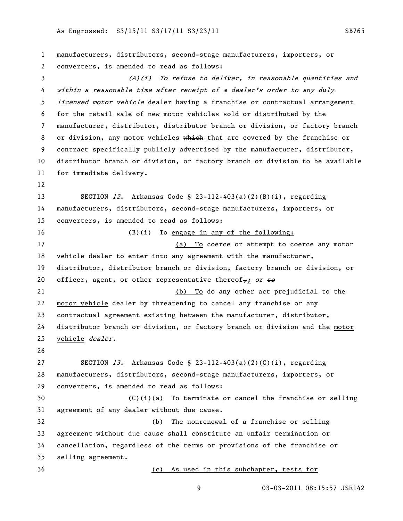manufacturers, distributors, second-stage manufacturers, importers, or converters, is amended to read as follows: (A)(i) To refuse to deliver, in reasonable quantities and 4 within a reasonable time after receipt of a dealer's order to any duly *licensed motor vehicle* dealer having a franchise or contractual arrangement for the retail sale of new motor vehicles sold or distributed by the manufacturer, distributor, distributor branch or division, or factory branch 8 or division, any motor vehicles which that are covered by the franchise or contract specifically publicly advertised by the manufacturer, distributor, distributor branch or division, or factory branch or division to be available for immediate delivery. SECTION 12. Arkansas Code § 23-112-403(a)(2)(B)(i), regarding manufacturers, distributors, second-stage manufacturers, importers, or converters, is amended to read as follows: (B)(i) To engage in any of the following: (a) To coerce or attempt to coerce any motor vehicle dealer to enter into any agreement with the manufacturer, distributor, distributor branch or division, factory branch or division, or 20 officer, agent, or other representative thereof,; or  $\pm \theta$  (b) To do any other act prejudicial to the motor vehicle dealer by threatening to cancel any franchise or any contractual agreement existing between the manufacturer, distributor, distributor branch or division, or factory branch or division and the motor vehicle dealer. 27 SECTION 13. Arkansas Code § 23-112-403(a)(2)(C)(i), regarding manufacturers, distributors, second-stage manufacturers, importers, or converters, is amended to read as follows: (C)(i)(a) To terminate or cancel the franchise or selling agreement of any dealer without due cause. (b) The nonrenewal of a franchise or selling agreement without due cause shall constitute an unfair termination or cancellation, regardless of the terms or provisions of the franchise or selling agreement. (c) As used in this subchapter, tests for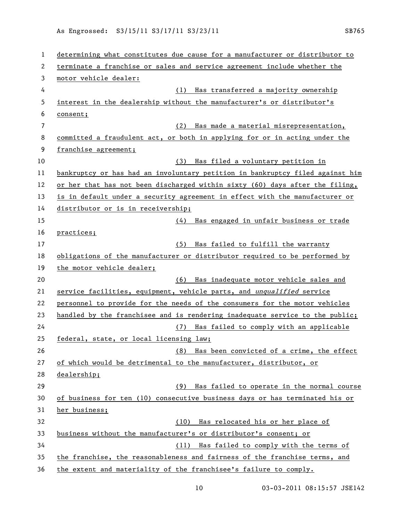| 1  | determining what constitutes due cause for a manufacturer or distributor to   |
|----|-------------------------------------------------------------------------------|
| 2  | terminate a franchise or sales and service agreement include whether the      |
| 3  | motor vehicle dealer:                                                         |
| 4  | Has transferred a majority ownership<br>(1)                                   |
| 5  | interest in the dealership without the manufacturer's or distributor's        |
| 6  | consent;                                                                      |
| 7  | Has made a material misrepresentation,<br>(2)                                 |
| 8  | committed a fraudulent act, or both in applying for or in acting under the    |
| 9  | franchise agreement;                                                          |
| 10 | Has filed a voluntary petition in<br>(3)                                      |
| 11 | bankruptcy or has had an involuntary petition in bankruptcy filed against him |
| 12 | or her that has not been discharged within sixty (60) days after the filing,  |
| 13 | is in default under a security agreement in effect with the manufacturer or   |
| 14 | distributor or is in receivership;                                            |
| 15 | Has engaged in unfair business or trade<br>(4)                                |
| 16 | practices;                                                                    |
| 17 | Has failed to fulfill the warranty<br>(5)                                     |
| 18 | obligations of the manufacturer or distributor required to be performed by    |
| 19 | the motor vehicle dealer;                                                     |
| 20 | (6) Has inadequate motor vehicle sales and                                    |
| 21 | service facilities, equipment, vehicle parts, and unqualified service         |
| 22 | personnel to provide for the needs of the consumers for the motor vehicles    |
| 23 | handled by the franchisee and is rendering inadequate service to the public;  |
| 24 | (7) Has failed to comply with an applicable                                   |
| 25 | federal, state, or local licensing law;                                       |
| 26 | (8) Has been convicted of a crime, the effect                                 |
| 27 | of which would be detrimental to the manufacturer, distributor, or            |
| 28 | dealership;                                                                   |
| 29 | Has failed to operate in the normal course<br>(9)                             |
| 30 | of business for ten (10) consecutive business days or has terminated his or   |
| 31 | her business;                                                                 |
| 32 | Has relocated his or her place of<br>(10)                                     |
| 33 | business without the manufacturer's or distributor's consent; or              |
| 34 | (11) Has failed to comply with the terms of                                   |
| 35 | the franchise, the reasonableness and fairness of the franchise terms, and    |
| 36 | the extent and materiality of the franchisee's failure to comply.             |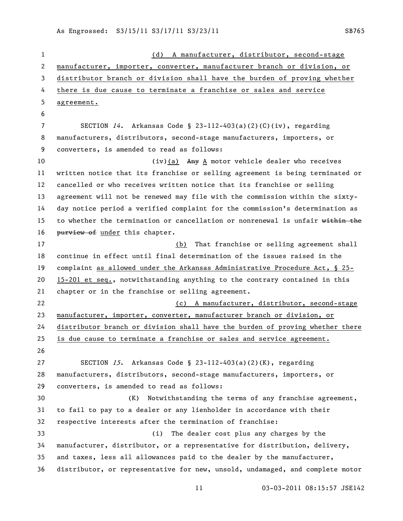| 1  | A manufacturer, distributor, second-stage<br>(d)                              |
|----|-------------------------------------------------------------------------------|
| 2  | manufacturer, importer, converter, manufacturer branch or division, or        |
| 3  | distributor branch or division shall have the burden of proving whether       |
| 4  | there is due cause to terminate a franchise or sales and service              |
| 5  | agreement.                                                                    |
| 6  |                                                                               |
| 7  | SECTION $14$ . Arkansas Code § 23-112-403(a)(2)(C)(iv), regarding             |
| 8  | manufacturers, distributors, second-stage manufacturers, importers, or        |
| 9  | converters, is amended to read as follows:                                    |
| 10 | (iv)(a) Any A motor vehicle dealer who receives                               |
| 11 | written notice that its franchise or selling agreement is being terminated or |
| 12 | cancelled or who receives written notice that its franchise or selling        |
| 13 | agreement will not be renewed may file with the commission within the sixty-  |
| 14 | day notice period a verified complaint for the commission's determination as  |
| 15 | to whether the termination or cancellation or nonrenewal is unfair within the |
| 16 | purview of under this chapter.                                                |
| 17 | (b) That franchise or selling agreement shall                                 |
| 18 | continue in effect until final determination of the issues raised in the      |
| 19 | complaint as allowed under the Arkansas Administrative Procedure Act, § 25-   |
| 20 | 15-201 et seq., notwithstanding anything to the contrary contained in this    |
| 21 | chapter or in the franchise or selling agreement.                             |
| 22 | (c) A manufacturer, distributor, second-stage                                 |
| 23 | manufacturer, importer, converter, manufacturer branch or division, or        |
| 24 | distributor branch or division shall have the burden of proving whether there |
| 25 | is due cause to terminate a franchise or sales and service agreement.         |
| 26 |                                                                               |
| 27 | SECTION 15. Arkansas Code § 23-112-403(a)(2)(K), regarding                    |
| 28 | manufacturers, distributors, second-stage manufacturers, importers, or        |
| 29 | converters, is amended to read as follows:                                    |
| 30 | Notwithstanding the terms of any franchise agreement,<br>(K)                  |
| 31 | to fail to pay to a dealer or any lienholder in accordance with their         |
| 32 | respective interests after the termination of franchise:                      |
| 33 | The dealer cost plus any charges by the<br>(i)                                |
| 34 | manufacturer, distributor, or a representative for distribution, delivery,    |
| 35 | and taxes, less all allowances paid to the dealer by the manufacturer,        |
| 36 | distributor, or representative for new, unsold, undamaged, and complete motor |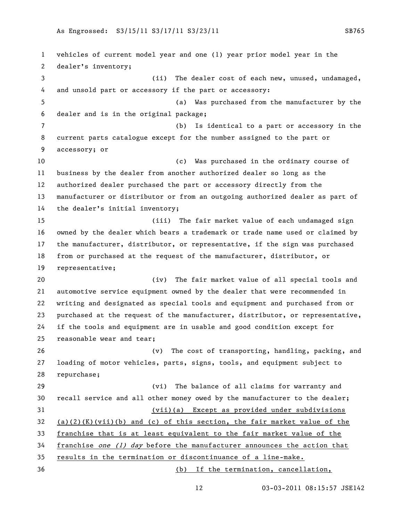vehicles of current model year and one (1) year prior model year in the dealer's inventory; (ii) The dealer cost of each new, unused, undamaged, and unsold part or accessory if the part or accessory: (a) Was purchased from the manufacturer by the dealer and is in the original package; (b) Is identical to a part or accessory in the current parts catalogue except for the number assigned to the part or accessory; or (c) Was purchased in the ordinary course of business by the dealer from another authorized dealer so long as the authorized dealer purchased the part or accessory directly from the manufacturer or distributor or from an outgoing authorized dealer as part of the dealer's initial inventory; (iii) The fair market value of each undamaged sign owned by the dealer which bears a trademark or trade name used or claimed by the manufacturer, distributor, or representative, if the sign was purchased from or purchased at the request of the manufacturer, distributor, or representative; (iv) The fair market value of all special tools and automotive service equipment owned by the dealer that were recommended in writing and designated as special tools and equipment and purchased from or purchased at the request of the manufacturer, distributor, or representative, if the tools and equipment are in usable and good condition except for reasonable wear and tear; (v) The cost of transporting, handling, packing, and loading of motor vehicles, parts, signs, tools, and equipment subject to repurchase; (vi) The balance of all claims for warranty and recall service and all other money owed by the manufacturer to the dealer; (vii)(a) Except as provided under subdivisions 32 (a)(2)(K)(vii)(b) and (c) of this section, the fair market value of the franchise that is at least equivalent to the fair market value of the 34 franchise one  $(1)$  day before the manufacturer announces the action that results in the termination or discontinuance of a line-make. (b) If the termination, cancellation,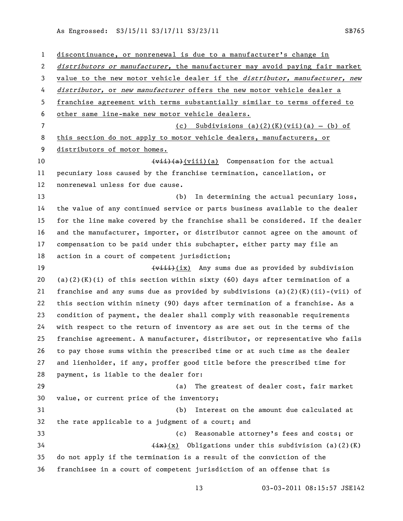discontinuance, or nonrenewal is due to a manufacturer's change in 2 distributors or manufacturer, the manufacturer may avoid paying fair market 3 value to the new motor vehicle dealer if the *distributor*, manufacturer, new 4 distributor, or new manufacturer offers the new motor vehicle dealer a franchise agreement with terms substantially similar to terms offered to other same line-make new motor vehicle dealers. 7 (c) Subdivisions (a)(2)(K)(vii)(a) - (b) of this section do not apply to motor vehicle dealers, manufacturers, or distributors of motor homes. 10 (vii)(a)(viii)(a) Compensation for the actual pecuniary loss caused by the franchise termination, cancellation, or nonrenewal unless for due cause. (b) In determining the actual pecuniary loss, the value of any continued service or parts business available to the dealer for the line make covered by the franchise shall be considered. If the dealer and the manufacturer, importer, or distributor cannot agree on the amount of compensation to be paid under this subchapter, either party may file an action in a court of competent jurisdiction; 19 (<del>viii)</del>(ix) Any sums due as provided by subdivision 20 (a)(2)(K)(i) of this section within sixty (60) days after termination of a 21 franchise and any sums due as provided by subdivisions (a)(2)(K)(ii)-(vii) of this section within ninety (90) days after termination of a franchise. As a condition of payment, the dealer shall comply with reasonable requirements with respect to the return of inventory as are set out in the terms of the franchise agreement. A manufacturer, distributor, or representative who fails to pay those sums within the prescribed time or at such time as the dealer and lienholder, if any, proffer good title before the prescribed time for payment, is liable to the dealer for: (a) The greatest of dealer cost, fair market value, or current price of the inventory; (b) Interest on the amount due calculated at the rate applicable to a judgment of a court; and (c) Reasonable attorney's fees and costs; or  $\leftarrow$  (ix)(x) Obligations under this subdivision (a)(2)(K) do not apply if the termination is a result of the conviction of the franchisee in a court of competent jurisdiction of an offense that is